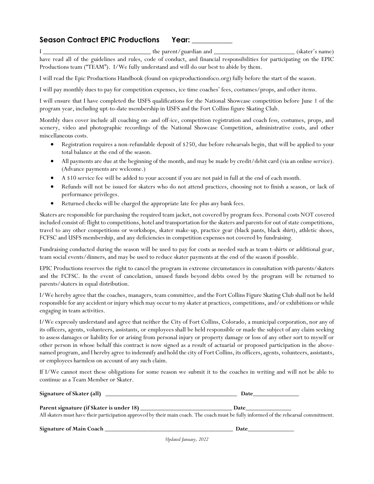## Season Contract EPIC Productions Year:

I \_\_\_\_\_\_\_\_\_\_\_\_\_\_\_\_\_\_\_\_\_\_\_\_\_\_\_\_\_\_\_\_ the parent/guardian and \_\_\_\_\_\_\_\_\_\_\_\_\_\_\_\_\_\_\_\_\_\_\_\_ (skater's name) have read all of the guidelines and rules, code of conduct, and financial responsibilities for participating on the EPIC Productions team ("TEAM"). I/We fully understand and will do our best to abide by them.

I will read the Epic Productions Handbook (found on epicproductionsfoco.org) fully before the start of the season.

I will pay monthly dues to pay for competition expenses, ice time coaches' fees, costumes/props, and other items.

I will ensure that I have completed the USFS qualifications for the National Showcase competition before June 1 of the program year, including upt-to-date membership in USFS and the Fort Collins figure Skating Club.

Monthly dues cover include all coaching on- and off-ice, competition registration and coach fess, costumes, props, and scenery, video and photographic recordings of the National Showcase Competition, administrative costs, and other miscellaneous costs.

- Registration requires a non-refundable deposit of \$250, due before rehearsals begin, that will be applied to your total balance at the end of the season.
- All payments are due at the beginning of the month, and may be made by credit/debit card (via an online service). (Advance payments are welcome.)
- A \$10 service fee will be added to your account if you are not paid in full at the end of each month.
- Refunds will not be issued for skaters who do not attend practices, choosing not to finish a season, or lack of performance privileges.
- Returned checks will be charged the appropriate late fee plus any bank fees.

Skaters are responsible for purchasing the required team jacket, not covered by program fees. Personal costs NOT covered included consist of: flight to competitions, hotel and transportation for the skaters and parents for out of state competitions, travel to any other competitions or workshops, skater make-up, practice gear (black pants, black shirt), athletic shoes, FCFSC and USFS membership, and any deficiencies in competition expenses not covered by fundraising.

Fundraising conducted during the season will be used to pay for costs as needed such as team t-shirts or additional gear, team social events/dinners, and may be used to reduce skater payments at the end of the season if possible.

EPIC Productions reserves the right to cancel the program in extreme circumstances in consultation with parents/skaters and the FCFSC. In the event of cancelation, unused funds beyond debts owed by the program will be returned to parents/skaters in equal distribution.

I/We hereby agree that the coaches, managers, team committee, and the Fort Collins Figure Skating Club shall not be held responsible for any accident or injury which may occur to my skater at practices, competitions, and/or exhibitions or while engaging in team activities.

I/We expressly understand and agree that neither the City of Fort Collins, Colorado, a municipal corporation, nor any of its officers, agents, volunteers, assistants, or employees shall be held responsible or made the subject of any claim seeking to assess damages or liability for or arising from personal injury or property damage or loss of any other sort to myself or other person in whose behalf this contract is now signed as a result of actuarial or proposed participation in the abovenamed program, and I hereby agree to indemnify and hold the city of Fort Collins, its officers, agents, volunteers, assistants, or employees harmless on account of any such claim.

If I/We cannot meet these obligations for some reason we submit it to the coaches in writing and will not be able to continue as a Team Member or Skater.

| Signature of Skater (all) | Jate |
|---------------------------|------|
|                           |      |
|                           |      |

**Parent signature (if Skater is under 18) \_\_\_\_\_\_\_\_\_\_\_\_\_\_\_\_\_\_\_\_\_\_\_\_\_\_\_\_\_\_ Date\_\_\_\_\_\_\_\_\_\_\_\_\_\_\_** All skaters must have their participation approved by their main coach. The coach must be fully informed of the rehearsal commitment.

Signature of Main Coach **Lines and Science of Main Coach Lines and Science of Main Coach Lines and Science of Ma**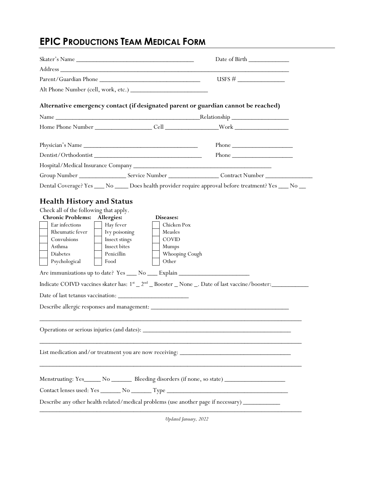## **EPIC PRODUCTIONS TEAM MEDICAL FORM**

|                                                                                                                                                                                                                            |                                                                                                                                                                                                                                                                                                | Date of Birth                                          |  |
|----------------------------------------------------------------------------------------------------------------------------------------------------------------------------------------------------------------------------|------------------------------------------------------------------------------------------------------------------------------------------------------------------------------------------------------------------------------------------------------------------------------------------------|--------------------------------------------------------|--|
|                                                                                                                                                                                                                            |                                                                                                                                                                                                                                                                                                |                                                        |  |
|                                                                                                                                                                                                                            |                                                                                                                                                                                                                                                                                                |                                                        |  |
|                                                                                                                                                                                                                            |                                                                                                                                                                                                                                                                                                |                                                        |  |
|                                                                                                                                                                                                                            | Alternative emergency contact (if designated parent or guardian cannot be reached)                                                                                                                                                                                                             |                                                        |  |
|                                                                                                                                                                                                                            |                                                                                                                                                                                                                                                                                                |                                                        |  |
|                                                                                                                                                                                                                            |                                                                                                                                                                                                                                                                                                |                                                        |  |
| Physician's Name                                                                                                                                                                                                           |                                                                                                                                                                                                                                                                                                | Phone                                                  |  |
|                                                                                                                                                                                                                            |                                                                                                                                                                                                                                                                                                | Phone $\frac{1}{\sqrt{1-\frac{1}{2}}\cdot\frac{1}{2}}$ |  |
|                                                                                                                                                                                                                            |                                                                                                                                                                                                                                                                                                |                                                        |  |
|                                                                                                                                                                                                                            |                                                                                                                                                                                                                                                                                                |                                                        |  |
|                                                                                                                                                                                                                            | Dental Coverage? Yes ___ No ____ Does health provider require approval before treatment? Yes ___ No __                                                                                                                                                                                         |                                                        |  |
| <b>Chronic Problems:</b> Allergies:<br>Ear infections<br>Hay fever<br>Rheumatic fever<br>Ivy poisoning<br>Convulsions<br>Insect stings<br>Insect bites<br>Asthma<br>Penicillin<br><b>Diabetes</b><br>Psychological<br>Food | Chicken Pox<br>Measles<br><b>COVID</b><br>Mumps<br>Whooping Cough<br>Other<br>Are immunizations up to date? Yes ____ No ____ Explain _________________________<br>Indicate COIVD vaccines skater has: $1^{\text{st}} - 2^{\text{nd}} -$ Booster $\_$ None $\_$ . Date of last vaccine/booster: |                                                        |  |
|                                                                                                                                                                                                                            |                                                                                                                                                                                                                                                                                                |                                                        |  |
|                                                                                                                                                                                                                            |                                                                                                                                                                                                                                                                                                |                                                        |  |
|                                                                                                                                                                                                                            | Menstruating: Yes_______ No __________ Bleeding disorders (if none, so state) _____________________                                                                                                                                                                                            |                                                        |  |
|                                                                                                                                                                                                                            | Contact lenses used: Yes _______ No ________ Type _______________________________                                                                                                                                                                                                              |                                                        |  |
|                                                                                                                                                                                                                            | Describe any other health related/medical problems (use another page if necessary) ________________                                                                                                                                                                                            |                                                        |  |
|                                                                                                                                                                                                                            |                                                                                                                                                                                                                                                                                                |                                                        |  |

*Updated January, 2022*